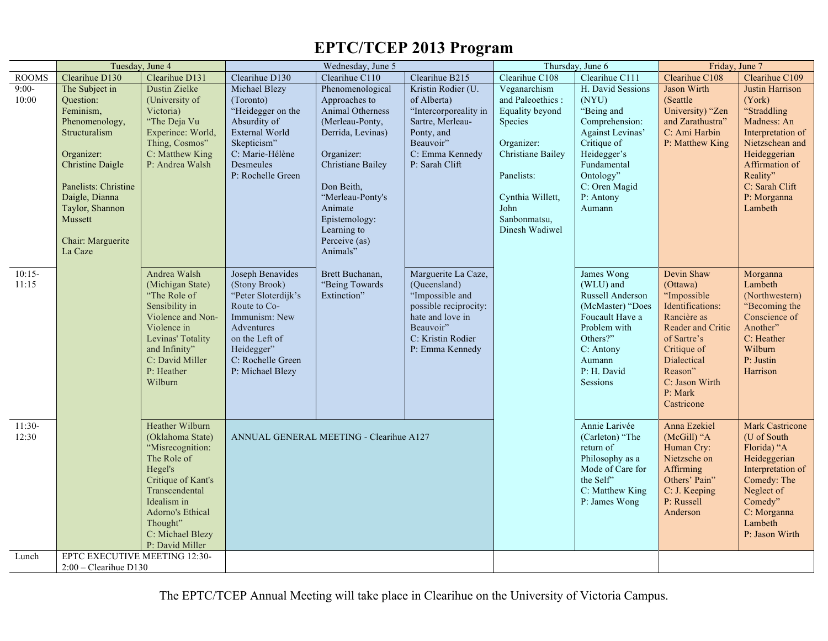## **EPTC/TCEP 2013 Program**

|                   | Tuesday, June 4                                                                                                                                                                                                              |                                                                                                                                                                                                                        |                                                                                                                                                                                  | Wednesday, June 5                                                                                                                                                                                                                          | Thursday, June 6<br>Friday, June 7                                                                                                                       |                                                                                                                                                                                      |                                                                                                                                                                                  |                                                                                                                                                                                                  |                                                                                                                                                                                           |
|-------------------|------------------------------------------------------------------------------------------------------------------------------------------------------------------------------------------------------------------------------|------------------------------------------------------------------------------------------------------------------------------------------------------------------------------------------------------------------------|----------------------------------------------------------------------------------------------------------------------------------------------------------------------------------|--------------------------------------------------------------------------------------------------------------------------------------------------------------------------------------------------------------------------------------------|----------------------------------------------------------------------------------------------------------------------------------------------------------|--------------------------------------------------------------------------------------------------------------------------------------------------------------------------------------|----------------------------------------------------------------------------------------------------------------------------------------------------------------------------------|--------------------------------------------------------------------------------------------------------------------------------------------------------------------------------------------------|-------------------------------------------------------------------------------------------------------------------------------------------------------------------------------------------|
| <b>ROOMS</b>      | Clearihue D130                                                                                                                                                                                                               | Clearihue D131                                                                                                                                                                                                         | Clearihue D130                                                                                                                                                                   | Clearihue C110                                                                                                                                                                                                                             | Clearihue B215                                                                                                                                           | Clearihue C108                                                                                                                                                                       | Clearihue C111                                                                                                                                                                   | Clearihue C108                                                                                                                                                                                   | Clearihue C109                                                                                                                                                                            |
| $9:00-$<br>10:00  | The Subject in<br>Question:<br>Feminism,<br>Phenomenology,<br>Structuralism<br>Organizer:<br><b>Christine Daigle</b><br>Panelists: Christine<br>Daigle, Dianna<br>Taylor, Shannon<br>Mussett<br>Chair: Marguerite<br>La Caze | Dustin Zielke<br>(University of<br>Victoria)<br>"The Deja Vu<br>Experince: World,<br>Thing, Cosmos"<br>C: Matthew King<br>P: Andrea Walsh                                                                              | Michael Blezy<br>(Toronto)<br>"Heidegger on the<br>Absurdity of<br>External World<br>Skepticism"<br>C: Marie-Hélène<br>Desmeules<br>P: Rochelle Green                            | Phenomenological<br>Approaches to<br>Animal Otherness<br>(Merleau-Ponty,<br>Derrida, Levinas)<br>Organizer:<br>Christiane Bailey<br>Don Beith,<br>"Merleau-Ponty's<br>Animate<br>Epistemology:<br>Learning to<br>Perceive (as)<br>Animals" | Kristin Rodier (U.<br>of Alberta)<br>"Intercorporeality in<br>Sartre, Merleau-<br>Ponty, and<br>Beauvoir"<br>C: Emma Kennedy<br>P: Sarah Clift           | Veganarchism<br>and Paleoethics:<br>Equality beyond<br>Species<br>Organizer:<br><b>Christiane Bailey</b><br>Panelists:<br>Cynthia Willett,<br>John<br>Sanbonmatsu,<br>Dinesh Wadiwel | H. David Sessions<br>(NYU)<br>"Being and<br>Comprehension:<br>Against Levinas'<br>Critique of<br>Heidegger's<br>Fundamental<br>Ontology"<br>C: Oren Magid<br>P: Antony<br>Aumann | Jason Wirth<br>(Seattle)<br>University) "Zen<br>and Zarathustra"<br>C: Ami Harbin<br>P: Matthew King                                                                                             | Justin Harrison<br>(York)<br>"Straddling<br>Madness: An<br>Interpretation of<br>Nietzschean and<br>Heideggerian<br>Affirmation of<br>Reality"<br>C: Sarah Clift<br>P: Morganna<br>Lambeth |
| $10:15-$<br>11:15 |                                                                                                                                                                                                                              | Andrea Walsh<br>(Michigan State)<br>"The Role of<br>Sensibility in<br>Violence and Non-<br>Violence in<br>Levinas' Totality<br>and Infinity"<br>C: David Miller<br>P: Heather<br>Wilburn                               | Joseph Benavides<br>(Stony Brook)<br>"Peter Sloterdijk's<br>Route to Co-<br>Immunism: New<br>Adventures<br>on the Left of<br>Heidegger"<br>C: Rochelle Green<br>P: Michael Blezy | Brett Buchanan,<br>"Being Towards<br>Extinction"                                                                                                                                                                                           | Marguerite La Caze,<br>(Queensland)<br>"Impossible and<br>possible reciprocity:<br>hate and love in<br>Beauvoir"<br>C: Kristin Rodier<br>P: Emma Kennedy |                                                                                                                                                                                      | James Wong<br>(WLU) and<br>Russell Anderson<br>(McMaster) "Does<br>Foucault Have a<br>Problem with<br>Others?"<br>C: Antony<br>Aumann<br>P: H. David<br>Sessions                 | Devin Shaw<br>(Ottawa)<br>"Impossible<br>Identifications:<br>Rancière as<br>Reader and Critic<br>of Sartre's<br>Critique of<br>Dialectical<br>Reason"<br>C: Jason Wirth<br>P: Mark<br>Castricone | Morganna<br>Lambeth<br>(Northwestern)<br>"Becoming the<br>Conscience of<br>Another"<br>C: Heather<br>Wilburn<br>P: Justin<br>Harrison                                                     |
| $11:30-$<br>12:30 |                                                                                                                                                                                                                              | Heather Wilburn<br>(Oklahoma State)<br>"Misrecognition:<br>The Role of<br>Hegel's<br>Critique of Kant's<br>Transcendental<br>Idealism in<br><b>Adorno's Ethical</b><br>Thought"<br>C: Michael Blezy<br>P: David Miller |                                                                                                                                                                                  | ANNUAL GENERAL MEETING - Clearihue A127                                                                                                                                                                                                    |                                                                                                                                                          |                                                                                                                                                                                      | Annie Larivée<br>(Carleton) "The<br>return of<br>Philosophy as a<br>Mode of Care for<br>the Self"<br>C: Matthew King<br>P: James Wong                                            | Anna Ezekiel<br>(McGill) "A<br>Human Cry:<br>Nietzsche on<br>Affirming<br>Others' Pain"<br>C: J. Keeping<br>P: Russell<br>Anderson                                                               | <b>Mark Castricone</b><br>(U of South<br>Florida) "A<br>Heideggerian<br>Interpretation of<br>Comedy: The<br>Neglect of<br>Comedy"<br>C: Morganna<br>Lambeth<br>P: Jason Wirth             |
| Lunch             | EPTC EXECUTIVE MEETING 12:30-<br>$2:00$ – Clearihue D130                                                                                                                                                                     |                                                                                                                                                                                                                        |                                                                                                                                                                                  |                                                                                                                                                                                                                                            |                                                                                                                                                          |                                                                                                                                                                                      |                                                                                                                                                                                  |                                                                                                                                                                                                  |                                                                                                                                                                                           |

The EPTC/TCEP Annual Meeting will take place in Clearihue on the University of Victoria Campus.